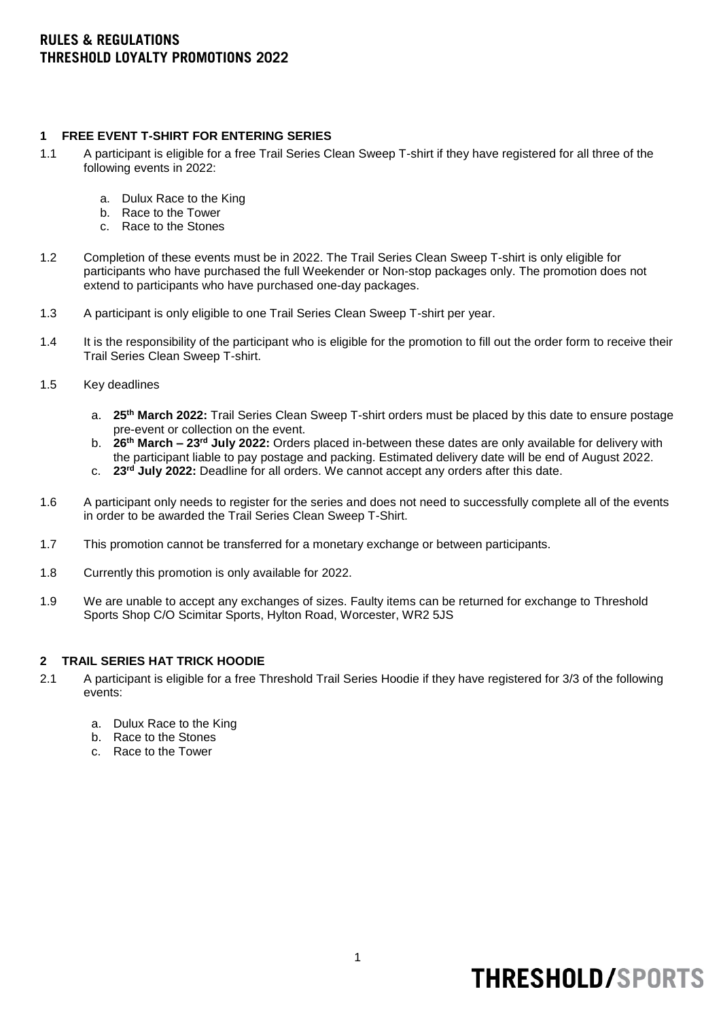### **RULES & REGULATIONS THRESHOLD LOYALTY PROMOTIONS 2022**

#### **1 FREE EVENT T-SHIRT FOR ENTERING SERIES**

- 1.1 A participant is eligible for a free Trail Series Clean Sweep T-shirt if they have registered for all three of the following events in 2022:
	- a. Dulux Race to the King
	- b. Race to the Tower
	- c. Race to the Stones
- 1.2 Completion of these events must be in 2022. The Trail Series Clean Sweep T-shirt is only eligible for participants who have purchased the full Weekender or Non-stop packages only. The promotion does not extend to participants who have purchased one-day packages.
- 1.3 A participant is only eligible to one Trail Series Clean Sweep T-shirt per year.
- 1.4 It is the responsibility of the participant who is eligible for the promotion to fill out the order form to receive their Trail Series Clean Sweep T-shirt.
- 1.5 Key deadlines
	- a. **25th March 2022:** Trail Series Clean Sweep T-shirt orders must be placed by this date to ensure postage pre-event or collection on the event.
	- b. **26 th March – 23rd July 2022:** Orders placed in-between these dates are only available for delivery with the participant liable to pay postage and packing. Estimated delivery date will be end of August 2022.
	- c. **23rd July 2022:** Deadline for all orders. We cannot accept any orders after this date.
- 1.6 A participant only needs to register for the series and does not need to successfully complete all of the events in order to be awarded the Trail Series Clean Sweep T-Shirt.
- 1.7 This promotion cannot be transferred for a monetary exchange or between participants.
- 1.8 Currently this promotion is only available for 2022.
- 1.9 We are unable to accept any exchanges of sizes. Faulty items can be returned for exchange to Threshold Sports Shop C/O Scimitar Sports, Hylton Road, Worcester, WR2 5JS

#### **2 TRAIL SERIES HAT TRICK HOODIE**

- 2.1 A participant is eligible for a free Threshold Trail Series Hoodie if they have registered for 3/3 of the following events:
	- a. Dulux Race to the King
	- b. Race to the Stones
	- c. Race to the Tower

# **THRESHOLD/SPORTS**